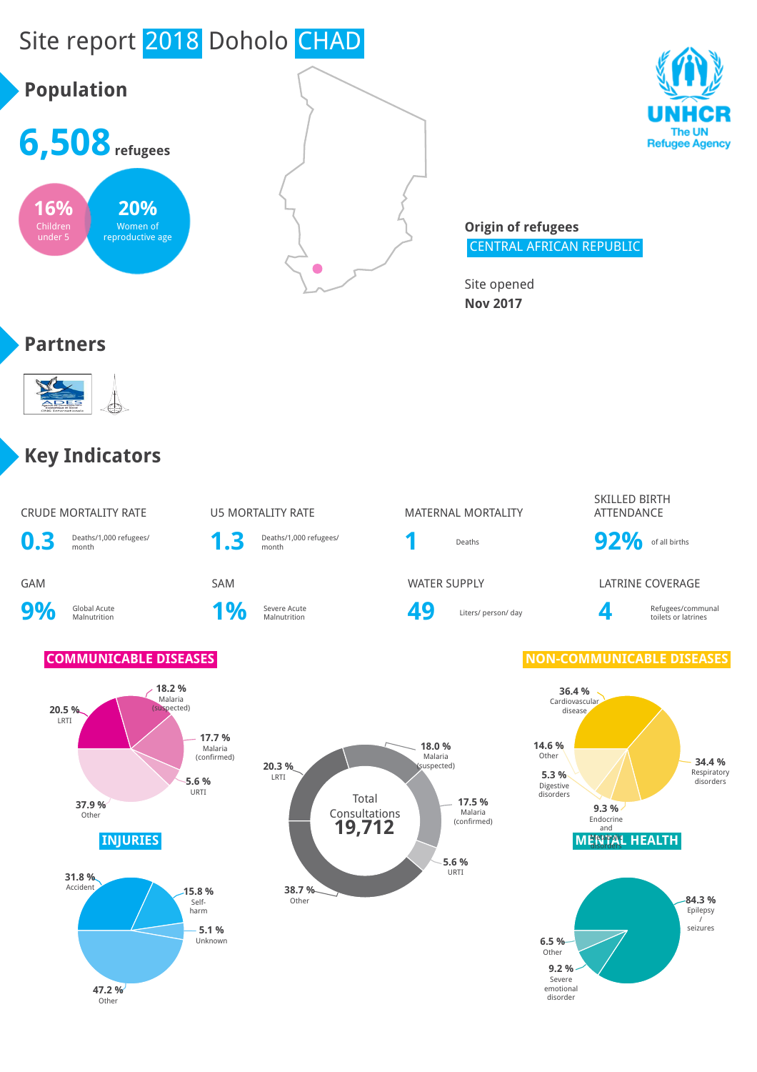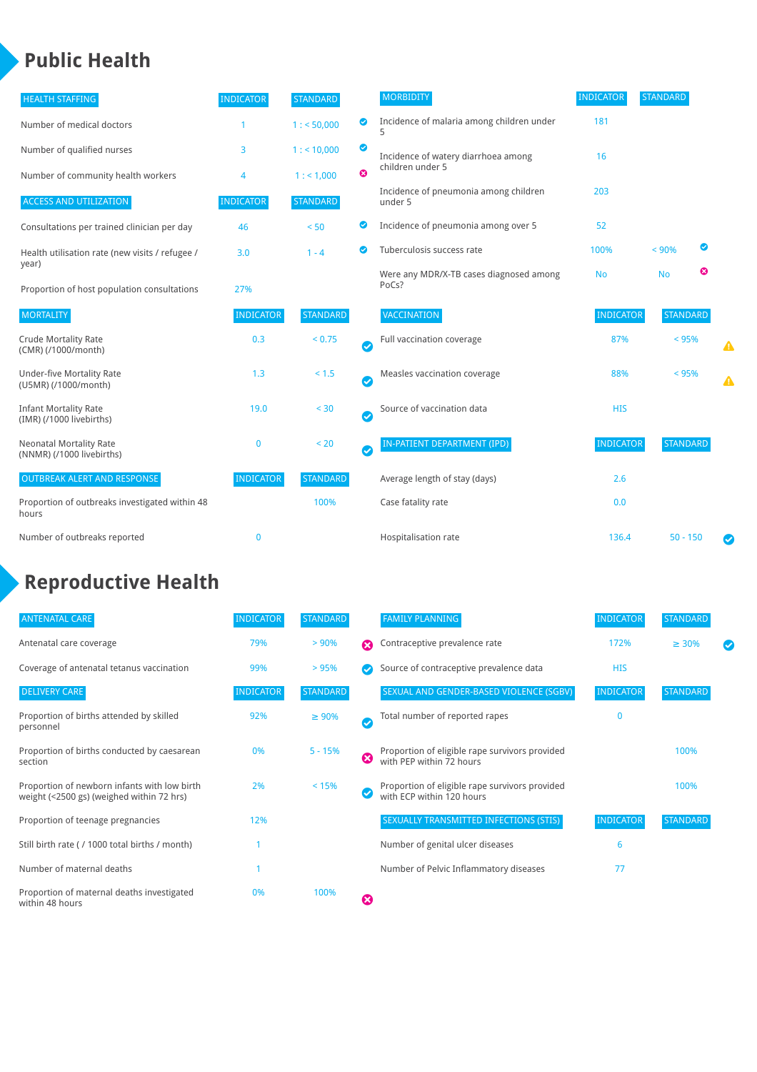## **Public Health**

| <b>HEALTH STAFFING</b>                                      | <b>INDICATOR</b> | <b>STANDARD</b> |           | <b>MORBIDITY</b>                                 | <b>INDICATOR</b> | <b>STANDARD</b> |           |   |
|-------------------------------------------------------------|------------------|-----------------|-----------|--------------------------------------------------|------------------|-----------------|-----------|---|
| Number of medical doctors                                   |                  | 1: 50,000       | ◎         | Incidence of malaria among children under        | 181              |                 |           |   |
| Number of qualified nurses                                  | 3                | 1:10,000        | ◙         | Incidence of watery diarrhoea among              | 16               |                 |           |   |
| Number of community health workers                          | 4                | 1: 1,000        | ⊗         | children under 5                                 |                  |                 |           |   |
| <b>ACCESS AND UTILIZATION</b>                               | <b>INDICATOR</b> | <b>STANDARD</b> |           | Incidence of pneumonia among children<br>under 5 | 203              |                 |           |   |
| Consultations per trained clinician per day                 | 46               | < 50            | ◎         | Incidence of pneumonia among over 5              | 52               |                 |           |   |
| Health utilisation rate (new visits / refugee /             | 3.0              | $1 - 4$         | Ø         | Tuberculosis success rate                        | 100%             | < 90%           | $\bullet$ |   |
| year)<br>Proportion of host population consultations        | 27%              |                 |           | Were any MDR/X-TB cases diagnosed among<br>PoCs? | <b>No</b>        | <b>No</b>       | ೞ         |   |
| <b>MORTALITY</b>                                            | <b>INDICATOR</b> | <b>STANDARD</b> |           | <b>VACCINATION</b>                               | <b>INDICATOR</b> | <b>STANDARD</b> |           |   |
| <b>Crude Mortality Rate</b><br>(CMR) (/1000/month)          | 0.3              | < 0.75          | Ø         | Full vaccination coverage                        | 87%              | < 95%           |           |   |
| <b>Under-five Mortality Rate</b><br>(U5MR) (/1000/month)    | 1.3              | < 1.5           | $\bullet$ | Measles vaccination coverage                     | 88%              | < 95%           |           | Δ |
| <b>Infant Mortality Rate</b><br>(IMR) (/1000 livebirths)    | 19.0             | $< 30$          | $\bullet$ | Source of vaccination data                       | <b>HIS</b>       |                 |           |   |
| <b>Neonatal Mortality Rate</b><br>(NNMR) (/1000 livebirths) | $\mathbf{0}$     | < 20            | $\bullet$ | <b>IN-PATIENT DEPARTMENT (IPD)</b>               | <b>INDICATOR</b> | <b>STANDARD</b> |           |   |
| <b>OUTBREAK ALERT AND RESPONSE</b>                          | <b>INDICATOR</b> | <b>STANDARD</b> |           | Average length of stay (days)                    | 2.6              |                 |           |   |
| Proportion of outbreaks investigated within 48<br>hours     |                  | 100%            |           | Case fatality rate                               | 0.0              |                 |           |   |
| Number of outbreaks reported                                | $\mathbf 0$      |                 |           | Hospitalisation rate                             | 136.4            | $50 - 150$      |           |   |

# **Reproductive Health**

| <b>ANTENATAL CARE</b>                                                                     | <b>INDICATOR</b> | <b>STANDARD</b> |          | <b>FAMILY PLANNING</b>                                                      | <b>INDICATOR</b> | <b>STANDARD</b> |  |
|-------------------------------------------------------------------------------------------|------------------|-----------------|----------|-----------------------------------------------------------------------------|------------------|-----------------|--|
| Antenatal care coverage                                                                   | 79%              | > 90%           | $\Omega$ | Contraceptive prevalence rate                                               | 172%             | $\geq 30\%$     |  |
| Coverage of antenatal tetanus vaccination                                                 | 99%              | > 95%           |          | Source of contraceptive prevalence data                                     | <b>HIS</b>       |                 |  |
| <b>DELIVERY CARE</b>                                                                      | <b>INDICATOR</b> | <b>STANDARD</b> |          | SEXUAL AND GENDER-BASED VIOLENCE (SGBV)                                     | <b>INDICATOR</b> | <b>STANDARD</b> |  |
| Proportion of births attended by skilled<br>personnel                                     | 92%              | $\geq 90\%$     | Ø        | Total number of reported rapes                                              | $\Omega$         |                 |  |
| Proportion of births conducted by caesarean<br>section                                    | 0%               | $5 - 15%$       | ೞ        | Proportion of eligible rape survivors provided<br>with PEP within 72 hours  |                  | 100%            |  |
| Proportion of newborn infants with low birth<br>weight (<2500 gs) (weighed within 72 hrs) | 2%               | < 15%           |          | Proportion of eligible rape survivors provided<br>with ECP within 120 hours |                  | 100%            |  |
| Proportion of teenage pregnancies                                                         | 12%              |                 |          | SEXUALLY TRANSMITTED INFECTIONS (STIS)                                      | <b>INDICATOR</b> | <b>STANDARD</b> |  |
| Still birth rate (/ 1000 total births / month)                                            |                  |                 |          | Number of genital ulcer diseases                                            | 6                |                 |  |
| Number of maternal deaths                                                                 |                  |                 |          | Number of Pelvic Inflammatory diseases                                      | 77               |                 |  |
| Proportion of maternal deaths investigated<br>within 48 hours                             | 0%               | 100%            | Ø        |                                                                             |                  |                 |  |